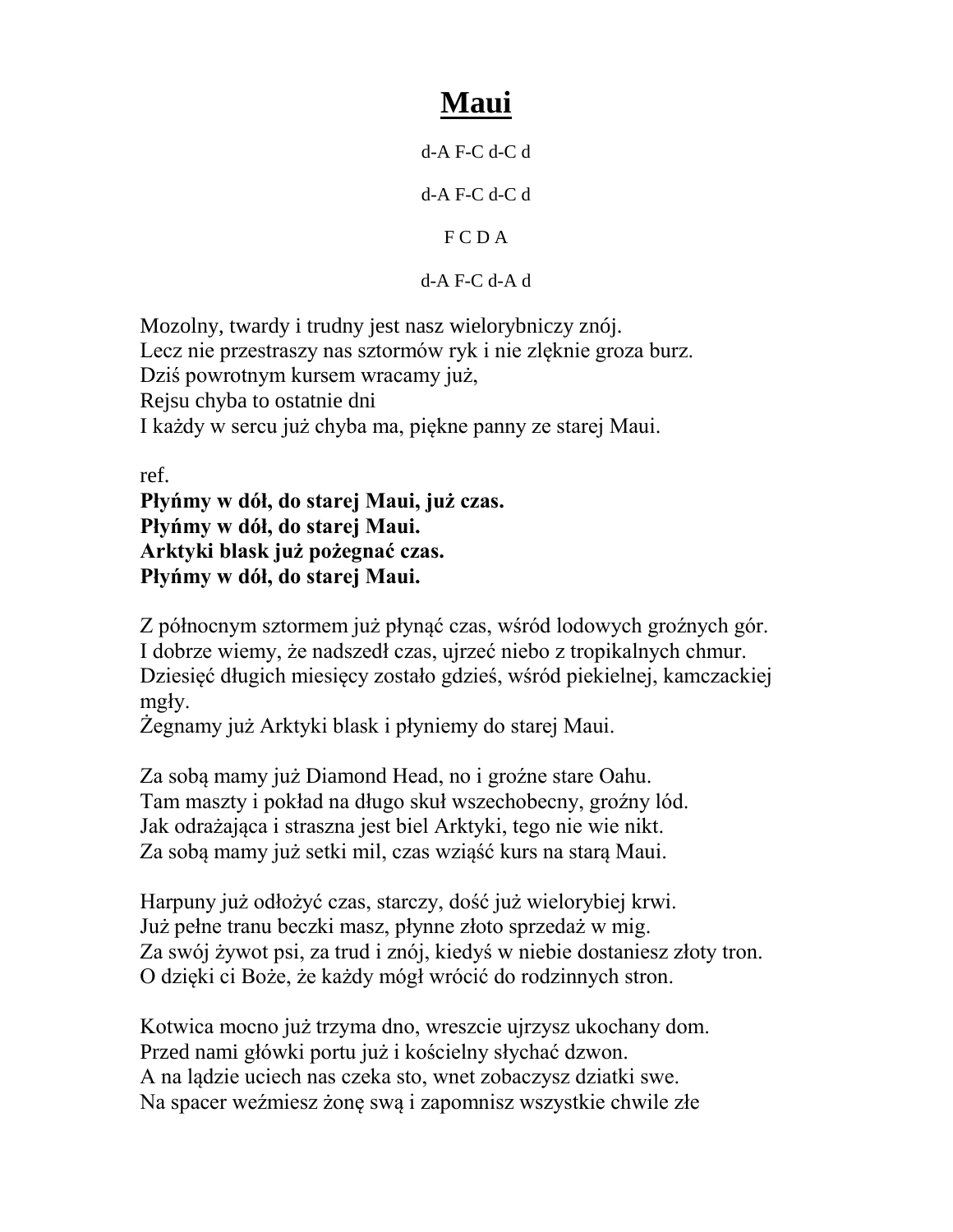## **Maui**

d-A F-C d-C d

d-A F-C d-C d

F C D A

d-A F-C d-A d

Mozolny, twardy i trudny jest nasz wielorybniczy znój. Lecz nie przestraszy nas sztormów ryk i nie zlęknie groza burz. Dziś powrotnym kursem wracamy już, Rejsu chyba to ostatnie dni I każdy w sercu już chyba ma, piękne panny ze starej Maui.

ref.

**Płyńmy w dół, do starej Maui, już czas. Płyńmy w dół, do starej Maui. Arktyki blask już pożegnać czas. Płyńmy w dół, do starej Maui.**

Z północnym sztormem już płynąć czas, wśród lodowych groźnych gór. I dobrze wiemy, że nadszedł czas, ujrzeć niebo z tropikalnych chmur. Dziesięć długich miesięcy zostało gdzieś, wśród piekielnej, kamczackiej mgły.

Żegnamy już Arktyki blask i płyniemy do starej Maui.

Za sobą mamy już Diamond Head, no i groźne stare Oahu. Tam maszty i pokład na długo skuł wszechobecny, groźny lód. Jak odrażająca i straszna jest biel Arktyki, tego nie wie nikt. Za sobą mamy już setki mil, czas wziąść kurs na starą Maui.

Harpuny już odłożyć czas, starczy, dość już wielorybiej krwi. Już pełne tranu beczki masz, płynne złoto sprzedaż w mig. Za swój żywot psi, za trud i znój, kiedyś w niebie dostaniesz złoty tron. O dzięki ci Boże, że każdy mógł wrócić do rodzinnych stron.

Kotwica mocno już trzyma dno, wreszcie ujrzysz ukochany dom. Przed nami główki portu już i kościelny słychać dzwon. A na lądzie uciech nas czeka sto, wnet zobaczysz dziatki swe. Na spacer weźmiesz żonę swą i zapomnisz wszystkie chwile złe